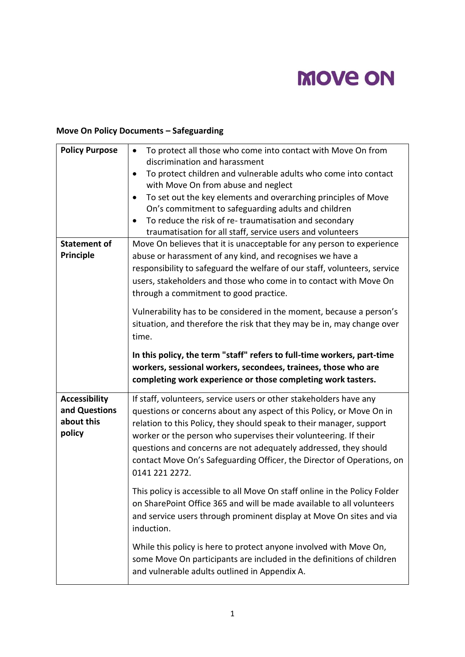# **MOVE ON**

## **Move On Policy Documents – Safeguarding**

| <b>Policy Purpose</b>                 | To protect all those who come into contact with Move On from<br>$\bullet$<br>discrimination and harassment<br>To protect children and vulnerable adults who come into contact<br>$\bullet$<br>with Move On from abuse and neglect<br>To set out the key elements and overarching principles of Move<br>$\bullet$<br>On's commitment to safeguarding adults and children<br>To reduce the risk of re-traumatisation and secondary<br>traumatisation for all staff, service users and volunteers |
|---------------------------------------|------------------------------------------------------------------------------------------------------------------------------------------------------------------------------------------------------------------------------------------------------------------------------------------------------------------------------------------------------------------------------------------------------------------------------------------------------------------------------------------------|
| <b>Statement of</b><br>Principle      | Move On believes that it is unacceptable for any person to experience<br>abuse or harassment of any kind, and recognises we have a<br>responsibility to safeguard the welfare of our staff, volunteers, service<br>users, stakeholders and those who come in to contact with Move On<br>through a commitment to good practice.                                                                                                                                                                 |
|                                       | Vulnerability has to be considered in the moment, because a person's<br>situation, and therefore the risk that they may be in, may change over<br>time.                                                                                                                                                                                                                                                                                                                                        |
|                                       | In this policy, the term "staff" refers to full-time workers, part-time<br>workers, sessional workers, secondees, trainees, those who are<br>completing work experience or those completing work tasters.                                                                                                                                                                                                                                                                                      |
| <b>Accessibility</b><br>and Questions | If staff, volunteers, service users or other stakeholders have any<br>questions or concerns about any aspect of this Policy, or Move On in                                                                                                                                                                                                                                                                                                                                                     |
| about this<br>policy                  | relation to this Policy, they should speak to their manager, support<br>worker or the person who supervises their volunteering. If their<br>questions and concerns are not adequately addressed, they should<br>contact Move On's Safeguarding Officer, the Director of Operations, on<br>0141 221 2272.                                                                                                                                                                                       |
|                                       | This policy is accessible to all Move On staff online in the Policy Folder<br>on SharePoint Office 365 and will be made available to all volunteers<br>and service users through prominent display at Move On sites and via<br>induction.                                                                                                                                                                                                                                                      |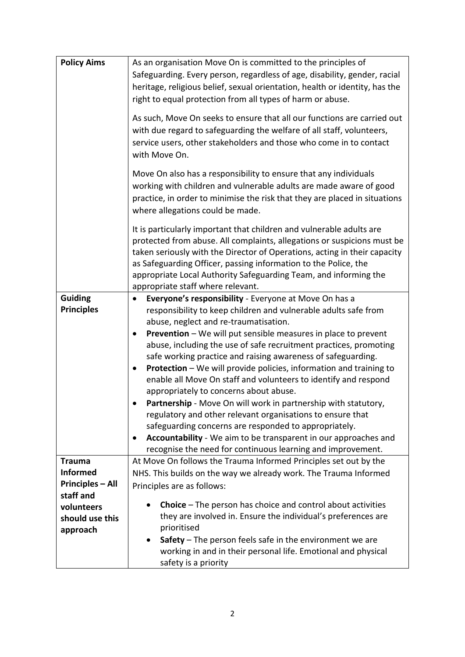| <b>Policy Aims</b>                         | As an organisation Move On is committed to the principles of<br>Safeguarding. Every person, regardless of age, disability, gender, racial<br>heritage, religious belief, sexual orientation, health or identity, has the<br>right to equal protection from all types of harm or abuse.<br>As such, Move On seeks to ensure that all our functions are carried out<br>with due regard to safeguarding the welfare of all staff, volunteers,<br>service users, other stakeholders and those who come in to contact<br>with Move On.                                                                                                                                                                                                                                                                                                                                                                                    |
|--------------------------------------------|----------------------------------------------------------------------------------------------------------------------------------------------------------------------------------------------------------------------------------------------------------------------------------------------------------------------------------------------------------------------------------------------------------------------------------------------------------------------------------------------------------------------------------------------------------------------------------------------------------------------------------------------------------------------------------------------------------------------------------------------------------------------------------------------------------------------------------------------------------------------------------------------------------------------|
|                                            | Move On also has a responsibility to ensure that any individuals<br>working with children and vulnerable adults are made aware of good<br>practice, in order to minimise the risk that they are placed in situations<br>where allegations could be made.                                                                                                                                                                                                                                                                                                                                                                                                                                                                                                                                                                                                                                                             |
|                                            | It is particularly important that children and vulnerable adults are<br>protected from abuse. All complaints, allegations or suspicions must be<br>taken seriously with the Director of Operations, acting in their capacity<br>as Safeguarding Officer, passing information to the Police, the<br>appropriate Local Authority Safeguarding Team, and informing the<br>appropriate staff where relevant.                                                                                                                                                                                                                                                                                                                                                                                                                                                                                                             |
| <b>Guiding</b><br><b>Principles</b>        | Everyone's responsibility - Everyone at Move On has a<br>٠<br>responsibility to keep children and vulnerable adults safe from<br>abuse, neglect and re-traumatisation.<br><b>Prevention</b> – We will put sensible measures in place to prevent<br>$\bullet$<br>abuse, including the use of safe recruitment practices, promoting<br>safe working practice and raising awareness of safeguarding.<br>Protection - We will provide policies, information and training to<br>enable all Move On staff and volunteers to identify and respond<br>appropriately to concerns about abuse.<br>Partnership - Move On will work in partnership with statutory,<br>regulatory and other relevant organisations to ensure that<br>safeguarding concerns are responded to appropriately.<br>Accountability - We aim to be transparent in our approaches and<br>٠<br>recognise the need for continuous learning and improvement. |
| <b>Trauma</b>                              | At Move On follows the Trauma Informed Principles set out by the                                                                                                                                                                                                                                                                                                                                                                                                                                                                                                                                                                                                                                                                                                                                                                                                                                                     |
| <b>Informed</b><br><b>Principles - All</b> | NHS. This builds on the way we already work. The Trauma Informed<br>Principles are as follows:                                                                                                                                                                                                                                                                                                                                                                                                                                                                                                                                                                                                                                                                                                                                                                                                                       |
| staff and                                  | <b>Choice</b> – The person has choice and control about activities                                                                                                                                                                                                                                                                                                                                                                                                                                                                                                                                                                                                                                                                                                                                                                                                                                                   |
| volunteers<br>should use this              | they are involved in. Ensure the individual's preferences are                                                                                                                                                                                                                                                                                                                                                                                                                                                                                                                                                                                                                                                                                                                                                                                                                                                        |
| approach                                   | prioritised                                                                                                                                                                                                                                                                                                                                                                                                                                                                                                                                                                                                                                                                                                                                                                                                                                                                                                          |
|                                            | Safety $-$ The person feels safe in the environment we are<br>$\bullet$<br>working in and in their personal life. Emotional and physical<br>safety is a priority                                                                                                                                                                                                                                                                                                                                                                                                                                                                                                                                                                                                                                                                                                                                                     |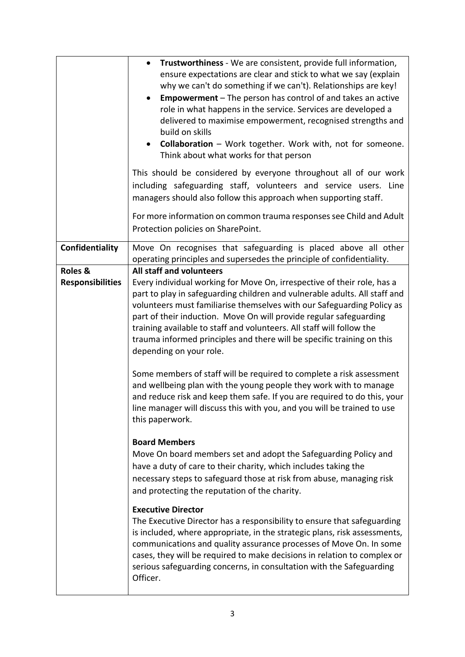|                                               | Trustworthiness - We are consistent, provide full information,<br>$\bullet$<br>ensure expectations are clear and stick to what we say (explain<br>why we can't do something if we can't). Relationships are key!<br><b>Empowerment</b> – The person has control of and takes an active<br>role in what happens in the service. Services are developed a<br>delivered to maximise empowerment, recognised strengths and<br>build on skills<br><b>Collaboration</b> – Work together. Work with, not for someone.<br>$\bullet$<br>Think about what works for that person<br>This should be considered by everyone throughout all of our work<br>including safeguarding staff, volunteers and service users. Line<br>managers should also follow this approach when supporting staff.                                                      |
|-----------------------------------------------|----------------------------------------------------------------------------------------------------------------------------------------------------------------------------------------------------------------------------------------------------------------------------------------------------------------------------------------------------------------------------------------------------------------------------------------------------------------------------------------------------------------------------------------------------------------------------------------------------------------------------------------------------------------------------------------------------------------------------------------------------------------------------------------------------------------------------------------|
|                                               | For more information on common trauma responses see Child and Adult<br>Protection policies on SharePoint.                                                                                                                                                                                                                                                                                                                                                                                                                                                                                                                                                                                                                                                                                                                              |
| Confidentiality                               | Move On recognises that safeguarding is placed above all other<br>operating principles and supersedes the principle of confidentiality.                                                                                                                                                                                                                                                                                                                                                                                                                                                                                                                                                                                                                                                                                                |
| <b>Roles &amp;</b><br><b>Responsibilities</b> | All staff and volunteers<br>Every individual working for Move On, irrespective of their role, has a<br>part to play in safeguarding children and vulnerable adults. All staff and<br>volunteers must familiarise themselves with our Safeguarding Policy as<br>part of their induction. Move On will provide regular safeguarding<br>training available to staff and volunteers. All staff will follow the<br>trauma informed principles and there will be specific training on this<br>depending on your role.<br>Some members of staff will be required to complete a risk assessment<br>and wellbeing plan with the young people they work with to manage<br>and reduce risk and keep them safe. If you are required to do this, your<br>line manager will discuss this with you, and you will be trained to use<br>this paperwork. |
|                                               | <b>Board Members</b><br>Move On board members set and adopt the Safeguarding Policy and<br>have a duty of care to their charity, which includes taking the<br>necessary steps to safeguard those at risk from abuse, managing risk<br>and protecting the reputation of the charity.<br><b>Executive Director</b>                                                                                                                                                                                                                                                                                                                                                                                                                                                                                                                       |
|                                               | The Executive Director has a responsibility to ensure that safeguarding<br>is included, where appropriate, in the strategic plans, risk assessments,<br>communications and quality assurance processes of Move On. In some<br>cases, they will be required to make decisions in relation to complex or<br>serious safeguarding concerns, in consultation with the Safeguarding<br>Officer.                                                                                                                                                                                                                                                                                                                                                                                                                                             |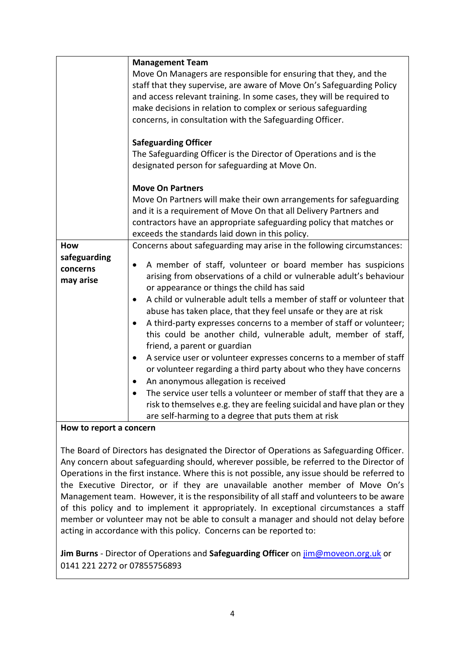|              | <b>Management Team</b>                                                           |
|--------------|----------------------------------------------------------------------------------|
|              | Move On Managers are responsible for ensuring that they, and the                 |
|              | staff that they supervise, are aware of Move On's Safeguarding Policy            |
|              | and access relevant training. In some cases, they will be required to            |
|              | make decisions in relation to complex or serious safeguarding                    |
|              | concerns, in consultation with the Safeguarding Officer.                         |
|              | <b>Safeguarding Officer</b>                                                      |
|              | The Safeguarding Officer is the Director of Operations and is the                |
|              | designated person for safeguarding at Move On.                                   |
|              |                                                                                  |
|              | <b>Move On Partners</b>                                                          |
|              | Move On Partners will make their own arrangements for safeguarding               |
|              | and it is a requirement of Move On that all Delivery Partners and                |
|              | contractors have an appropriate safeguarding policy that matches or              |
|              | exceeds the standards laid down in this policy.                                  |
| How          | Concerns about safeguarding may arise in the following circumstances:            |
| safeguarding | A member of staff, volunteer or board member has suspicions<br>٠                 |
| concerns     | arising from observations of a child or vulnerable adult's behaviour             |
| may arise    | or appearance or things the child has said                                       |
|              | A child or vulnerable adult tells a member of staff or volunteer that            |
|              | abuse has taken place, that they feel unsafe or they are at risk                 |
|              | A third-party expresses concerns to a member of staff or volunteer;<br>$\bullet$ |
|              | this could be another child, vulnerable adult, member of staff,                  |
|              | friend, a parent or guardian                                                     |
|              | A service user or volunteer expresses concerns to a member of staff<br>٠         |
|              | or volunteer regarding a third party about who they have concerns                |
|              | An anonymous allegation is received                                              |
|              | The service user tells a volunteer or member of staff that they are a            |
|              | risk to themselves e.g. they are feeling suicidal and have plan or they          |
|              | are self-harming to a degree that puts them at risk                              |

## **How to report a concern**

The Board of Directors has designated the Director of Operations as Safeguarding Officer. Any concern about safeguarding should, wherever possible, be referred to the Director of Operations in the first instance. Where this is not possible, any issue should be referred to the Executive Director, or if they are unavailable another member of Move On's Management team. However, it is the responsibility of all staff and volunteers to be aware of this policy and to implement it appropriately. In exceptional circumstances a staff member or volunteer may not be able to consult a manager and should not delay before acting in accordance with this policy. Concerns can be reported to:

**Jim Burns** - Director of Operations and **Safeguarding Officer** on [jim@moveon.org.uk](mailto:jim@moveon.org.uk) or 0141 221 2272 or 07855756893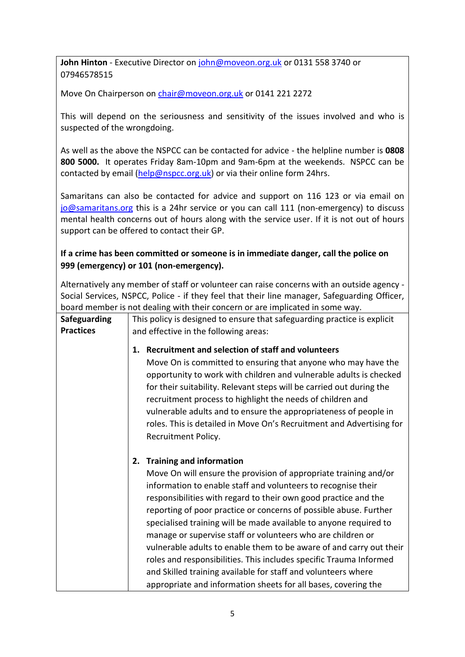**John Hinton** - Executive Director on [john@moveon.org.uk](mailto:john@moveon.org.uk) or 0131 558 3740 or 07946578515

Move On Chairperson on [chair@moveon.org.uk](mailto:chair@moveon.org.uk) or 0141 221 2272

This will depend on the seriousness and sensitivity of the issues involved and who is suspected of the wrongdoing.

As well as the above the NSPCC can be contacted for advice - the helpline number is **0808 800 5000.** It operates Friday 8am-10pm and 9am-6pm at the weekends. NSPCC can be contacted by email [\(help@nspcc.org.uk\)](mailto:help@nspcc.org.uk) or via their online form 24hrs.

Samaritans can also be contacted for advice and support on 116 123 or via email on [jo@samaritans.org](mailto:jo@samaritans.org) this is a 24hr service or you can call 111 (non-emergency) to discuss mental health concerns out of hours along with the service user. If it is not out of hours support can be offered to contact their GP.

## **If a crime has been committed or someone is in immediate danger, call the police on 999 (emergency) or 101 (non-emergency).**

Alternatively any member of staff or volunteer can raise concerns with an outside agency - Social Services, NSPCC, Police - if they feel that their line manager, Safeguarding Officer, board member is not dealing with their concern or are implicated in some way.

| <b>Safeguarding</b><br><b>Practices</b> | This policy is designed to ensure that safeguarding practice is explicit<br>and effective in the following areas:                                                                                                                                                                                                                                                                                                                                                                                                                                                                                                                                                                                                                      |
|-----------------------------------------|----------------------------------------------------------------------------------------------------------------------------------------------------------------------------------------------------------------------------------------------------------------------------------------------------------------------------------------------------------------------------------------------------------------------------------------------------------------------------------------------------------------------------------------------------------------------------------------------------------------------------------------------------------------------------------------------------------------------------------------|
|                                         | Recruitment and selection of staff and volunteers<br>1.<br>Move On is committed to ensuring that anyone who may have the<br>opportunity to work with children and vulnerable adults is checked<br>for their suitability. Relevant steps will be carried out during the<br>recruitment process to highlight the needs of children and<br>vulnerable adults and to ensure the appropriateness of people in<br>roles. This is detailed in Move On's Recruitment and Advertising for<br>Recruitment Policy.                                                                                                                                                                                                                                |
|                                         | <b>Training and information</b><br>2.<br>Move On will ensure the provision of appropriate training and/or<br>information to enable staff and volunteers to recognise their<br>responsibilities with regard to their own good practice and the<br>reporting of poor practice or concerns of possible abuse. Further<br>specialised training will be made available to anyone required to<br>manage or supervise staff or volunteers who are children or<br>vulnerable adults to enable them to be aware of and carry out their<br>roles and responsibilities. This includes specific Trauma Informed<br>and Skilled training available for staff and volunteers where<br>appropriate and information sheets for all bases, covering the |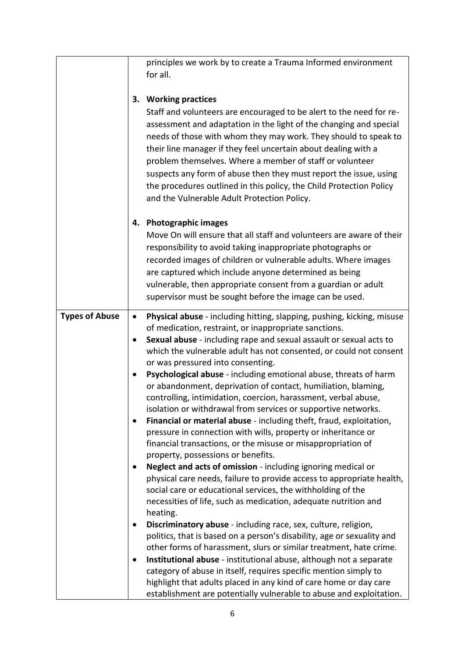|                       |                | principles we work by to create a Trauma Informed environment<br>for all.                                                                                                                                                                                                                                                                                                                                                                                                                                                             |
|-----------------------|----------------|---------------------------------------------------------------------------------------------------------------------------------------------------------------------------------------------------------------------------------------------------------------------------------------------------------------------------------------------------------------------------------------------------------------------------------------------------------------------------------------------------------------------------------------|
|                       |                | 3. Working practices                                                                                                                                                                                                                                                                                                                                                                                                                                                                                                                  |
|                       |                | Staff and volunteers are encouraged to be alert to the need for re-<br>assessment and adaptation in the light of the changing and special<br>needs of those with whom they may work. They should to speak to<br>their line manager if they feel uncertain about dealing with a<br>problem themselves. Where a member of staff or volunteer<br>suspects any form of abuse then they must report the issue, using<br>the procedures outlined in this policy, the Child Protection Policy<br>and the Vulnerable Adult Protection Policy. |
|                       |                | 4. Photographic images                                                                                                                                                                                                                                                                                                                                                                                                                                                                                                                |
|                       |                | Move On will ensure that all staff and volunteers are aware of their<br>responsibility to avoid taking inappropriate photographs or<br>recorded images of children or vulnerable adults. Where images<br>are captured which include anyone determined as being<br>vulnerable, then appropriate consent from a guardian or adult<br>supervisor must be sought before the image can be used.                                                                                                                                            |
| <b>Types of Abuse</b> | $\bullet$      | Physical abuse - including hitting, slapping, pushing, kicking, misuse                                                                                                                                                                                                                                                                                                                                                                                                                                                                |
|                       | $\bullet$<br>٠ | of medication, restraint, or inappropriate sanctions.<br>Sexual abuse - including rape and sexual assault or sexual acts to<br>which the vulnerable adult has not consented, or could not consent<br>or was pressured into consenting.<br>Psychological abuse - including emotional abuse, threats of harm                                                                                                                                                                                                                            |
|                       | ٠              | or abandonment, deprivation of contact, humiliation, blaming,<br>controlling, intimidation, coercion, harassment, verbal abuse,<br>isolation or withdrawal from services or supportive networks.<br>Financial or material abuse - including theft, fraud, exploitation,<br>pressure in connection with wills, property or inheritance or                                                                                                                                                                                              |
|                       |                | financial transactions, or the misuse or misappropriation of<br>property, possessions or benefits.                                                                                                                                                                                                                                                                                                                                                                                                                                    |
|                       | ٠              | Neglect and acts of omission - including ignoring medical or<br>physical care needs, failure to provide access to appropriate health,<br>social care or educational services, the withholding of the<br>necessities of life, such as medication, adequate nutrition and<br>heating.                                                                                                                                                                                                                                                   |
|                       | ٠              | Discriminatory abuse - including race, sex, culture, religion,<br>politics, that is based on a person's disability, age or sexuality and<br>other forms of harassment, slurs or similar treatment, hate crime.                                                                                                                                                                                                                                                                                                                        |
|                       | $\bullet$      | Institutional abuse - institutional abuse, although not a separate<br>category of abuse in itself, requires specific mention simply to<br>highlight that adults placed in any kind of care home or day care<br>establishment are potentially vulnerable to abuse and exploitation.                                                                                                                                                                                                                                                    |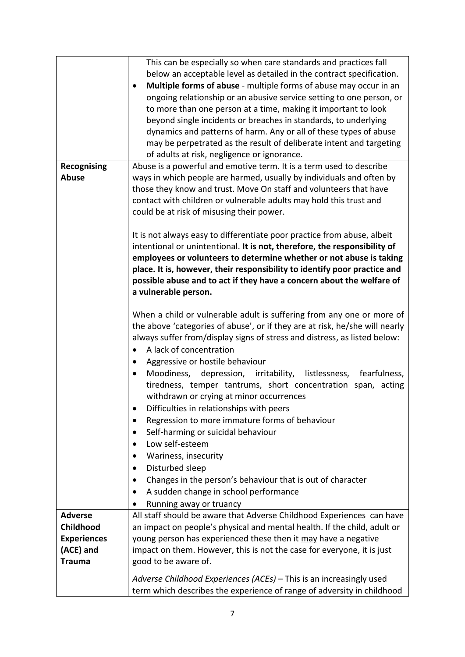|                    | This can be especially so when care standards and practices fall               |
|--------------------|--------------------------------------------------------------------------------|
|                    | below an acceptable level as detailed in the contract specification.           |
|                    | Multiple forms of abuse - multiple forms of abuse may occur in an<br>$\bullet$ |
|                    | ongoing relationship or an abusive service setting to one person, or           |
|                    | to more than one person at a time, making it important to look                 |
|                    | beyond single incidents or breaches in standards, to underlying                |
|                    |                                                                                |
|                    | dynamics and patterns of harm. Any or all of these types of abuse              |
|                    | may be perpetrated as the result of deliberate intent and targeting            |
|                    | of adults at risk, negligence or ignorance.                                    |
| Recognising        | Abuse is a powerful and emotive term. It is a term used to describe            |
| <b>Abuse</b>       | ways in which people are harmed, usually by individuals and often by           |
|                    | those they know and trust. Move On staff and volunteers that have              |
|                    | contact with children or vulnerable adults may hold this trust and             |
|                    | could be at risk of misusing their power.                                      |
|                    |                                                                                |
|                    | It is not always easy to differentiate poor practice from abuse, albeit        |
|                    | intentional or unintentional. It is not, therefore, the responsibility of      |
|                    | employees or volunteers to determine whether or not abuse is taking            |
|                    | place. It is, however, their responsibility to identify poor practice and      |
|                    | possible abuse and to act if they have a concern about the welfare of          |
|                    | a vulnerable person.                                                           |
|                    |                                                                                |
|                    | When a child or vulnerable adult is suffering from any one or more of          |
|                    |                                                                                |
|                    | the above 'categories of abuse', or if they are at risk, he/she will nearly    |
|                    | always suffer from/display signs of stress and distress, as listed below:      |
|                    | A lack of concentration<br>$\bullet$                                           |
|                    | Aggressive or hostile behaviour<br>$\bullet$                                   |
|                    | Moodiness, depression, irritability, listlessness, fearfulness,<br>$\bullet$   |
|                    | tiredness, temper tantrums, short concentration span, acting                   |
|                    | withdrawn or crying at minor occurrences                                       |
|                    | Difficulties in relationships with peers<br>٠                                  |
|                    | Regression to more immature forms of behaviour<br>٠                            |
|                    | Self-harming or suicidal behaviour<br>$\bullet$                                |
|                    | Low self-esteem<br>$\bullet$                                                   |
|                    | Wariness, insecurity<br>$\bullet$                                              |
|                    | Disturbed sleep<br>$\bullet$                                                   |
|                    |                                                                                |
|                    | Changes in the person's behaviour that is out of character<br>$\bullet$        |
|                    | A sudden change in school performance<br>$\bullet$                             |
|                    | Running away or truancy<br>$\bullet$                                           |
| <b>Adverse</b>     | All staff should be aware that Adverse Childhood Experiences can have          |
| Childhood          | an impact on people's physical and mental health. If the child, adult or       |
| <b>Experiences</b> | young person has experienced these then it may have a negative                 |
| (ACE) and          | impact on them. However, this is not the case for everyone, it is just         |
| <b>Trauma</b>      | good to be aware of.                                                           |
|                    |                                                                                |
|                    | Adverse Childhood Experiences (ACEs) - This is an increasingly used            |
|                    | term which describes the experience of range of adversity in childhood         |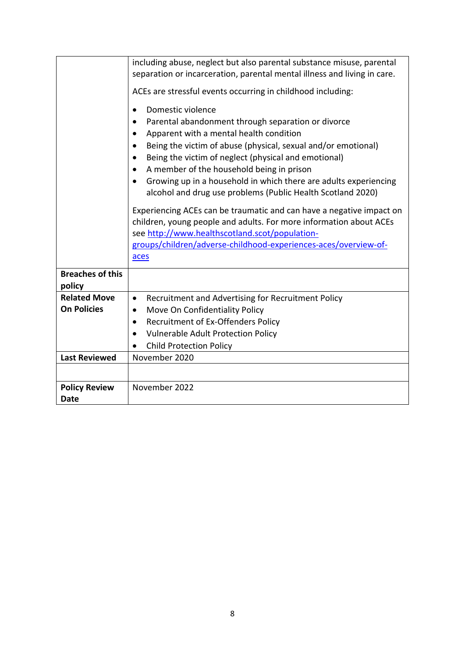|                         | including abuse, neglect but also parental substance misuse, parental<br>separation or incarceration, parental mental illness and living in care.<br>ACEs are stressful events occurring in childhood including:<br>Domestic violence<br>$\bullet$<br>Parental abandonment through separation or divorce<br>$\bullet$<br>Apparent with a mental health condition<br>$\bullet$<br>Being the victim of abuse (physical, sexual and/or emotional)<br>$\bullet$<br>Being the victim of neglect (physical and emotional)<br>٠<br>A member of the household being in prison<br>$\bullet$<br>Growing up in a household in which there are adults experiencing<br>$\bullet$<br>alcohol and drug use problems (Public Health Scotland 2020)<br>Experiencing ACEs can be traumatic and can have a negative impact on<br>children, young people and adults. For more information about ACEs<br>see http://www.healthscotland.scot/population-<br>groups/children/adverse-childhood-experiences-aces/overview-of- |
|-------------------------|-------------------------------------------------------------------------------------------------------------------------------------------------------------------------------------------------------------------------------------------------------------------------------------------------------------------------------------------------------------------------------------------------------------------------------------------------------------------------------------------------------------------------------------------------------------------------------------------------------------------------------------------------------------------------------------------------------------------------------------------------------------------------------------------------------------------------------------------------------------------------------------------------------------------------------------------------------------------------------------------------------|
|                         | aces                                                                                                                                                                                                                                                                                                                                                                                                                                                                                                                                                                                                                                                                                                                                                                                                                                                                                                                                                                                                  |
| <b>Breaches of this</b> |                                                                                                                                                                                                                                                                                                                                                                                                                                                                                                                                                                                                                                                                                                                                                                                                                                                                                                                                                                                                       |
| policy                  |                                                                                                                                                                                                                                                                                                                                                                                                                                                                                                                                                                                                                                                                                                                                                                                                                                                                                                                                                                                                       |
| <b>Related Move</b>     | Recruitment and Advertising for Recruitment Policy<br>$\bullet$                                                                                                                                                                                                                                                                                                                                                                                                                                                                                                                                                                                                                                                                                                                                                                                                                                                                                                                                       |
| <b>On Policies</b>      | Move On Confidentiality Policy<br>$\bullet$                                                                                                                                                                                                                                                                                                                                                                                                                                                                                                                                                                                                                                                                                                                                                                                                                                                                                                                                                           |
|                         | Recruitment of Ex-Offenders Policy<br>٠                                                                                                                                                                                                                                                                                                                                                                                                                                                                                                                                                                                                                                                                                                                                                                                                                                                                                                                                                               |
|                         | <b>Vulnerable Adult Protection Policy</b><br>$\bullet$                                                                                                                                                                                                                                                                                                                                                                                                                                                                                                                                                                                                                                                                                                                                                                                                                                                                                                                                                |
|                         | <b>Child Protection Policy</b>                                                                                                                                                                                                                                                                                                                                                                                                                                                                                                                                                                                                                                                                                                                                                                                                                                                                                                                                                                        |
| <b>Last Reviewed</b>    | November 2020                                                                                                                                                                                                                                                                                                                                                                                                                                                                                                                                                                                                                                                                                                                                                                                                                                                                                                                                                                                         |
|                         |                                                                                                                                                                                                                                                                                                                                                                                                                                                                                                                                                                                                                                                                                                                                                                                                                                                                                                                                                                                                       |
| <b>Policy Review</b>    | November 2022                                                                                                                                                                                                                                                                                                                                                                                                                                                                                                                                                                                                                                                                                                                                                                                                                                                                                                                                                                                         |
| <b>Date</b>             |                                                                                                                                                                                                                                                                                                                                                                                                                                                                                                                                                                                                                                                                                                                                                                                                                                                                                                                                                                                                       |